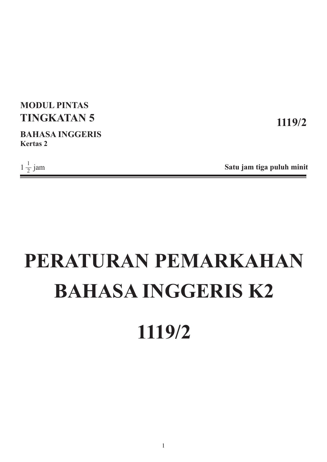## **MODUL PINTAS TINGKATAN 5**

**BAHASA INGGERIS Kertas 2**

 $1\frac{1}{2}$  jam

**1119/2**

**Satu jam tiga puluh minit**

# **PERATURAN PEMARKAHAN BAHASA INGGERIS K2 1119/2**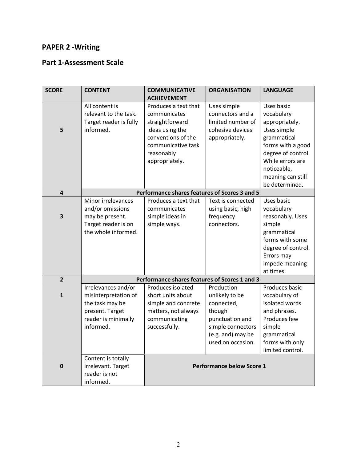#### **PAPER 2 -Writing**

#### **Part 1-Assessment Scale**

| <b>SCORE</b>            | <b>CONTENT</b>         | <b>COMMUNICATIVE</b>                          | <b>ORGANISATION</b> | <b>LANGUAGE</b>    |  |
|-------------------------|------------------------|-----------------------------------------------|---------------------|--------------------|--|
|                         |                        | <b>ACHIEVEMENT</b>                            |                     |                    |  |
|                         | All content is         | Produces a text that                          | Uses simple         | Uses basic         |  |
|                         | relevant to the task.  | communicates                                  | connectors and a    | vocabulary         |  |
|                         | Target reader is fully | straightforward                               | limited number of   | appropriately.     |  |
| 5                       | informed.              | ideas using the                               | cohesive devices    | Uses simple        |  |
|                         |                        | conventions of the                            | appropriately.      | grammatical        |  |
|                         |                        | communicative task                            |                     | forms with a good  |  |
|                         |                        | reasonably                                    |                     | degree of control. |  |
|                         |                        | appropriately.                                |                     | While errors are   |  |
|                         |                        |                                               |                     | noticeable,        |  |
|                         |                        |                                               |                     | meaning can still  |  |
|                         |                        |                                               |                     | be determined.     |  |
| $\overline{\mathbf{4}}$ |                        | Performance shares features of Scores 3 and 5 |                     |                    |  |
|                         | Minor irrelevances     | Produces a text that                          | Text is connected   | Uses basic         |  |
|                         | and/or omissions       | communicates                                  | using basic, high   | vocabulary         |  |
| 3                       | may be present.        | simple ideas in                               | frequency           | reasonably. Uses   |  |
|                         | Target reader is on    | simple ways.                                  | connectors.         | simple             |  |
|                         | the whole informed.    |                                               |                     | grammatical        |  |
|                         |                        |                                               |                     | forms with some    |  |
|                         |                        |                                               |                     | degree of control. |  |
|                         |                        |                                               |                     | Errors may         |  |
|                         |                        |                                               |                     | impede meaning     |  |
|                         |                        |                                               |                     | at times.          |  |
| $\overline{2}$          |                        | Performance shares features of Scores 1 and 3 |                     |                    |  |
|                         | Irrelevances and/or    | Produces isolated                             | Production          | Produces basic     |  |
| $\mathbf{1}$            | misinterpretation of   | short units about                             | unlikely to be      | vocabulary of      |  |
|                         | the task may be        | simple and concrete                           | connected,          | isolated words     |  |
|                         | present. Target        | matters, not always                           | though              | and phrases.       |  |
|                         | reader is minimally    | communicating                                 | punctuation and     | Produces few       |  |
|                         | informed.              | successfully.                                 | simple connectors   | simple             |  |
|                         |                        |                                               | (e.g. and) may be   | grammatical        |  |
|                         |                        |                                               | used on occasion.   | forms with only    |  |
|                         |                        |                                               |                     | limited control.   |  |
|                         | Content is totally     |                                               |                     |                    |  |
| $\mathbf 0$             | irrelevant. Target     | <b>Performance below Score 1</b>              |                     |                    |  |
|                         | reader is not          |                                               |                     |                    |  |
|                         | informed.              |                                               |                     |                    |  |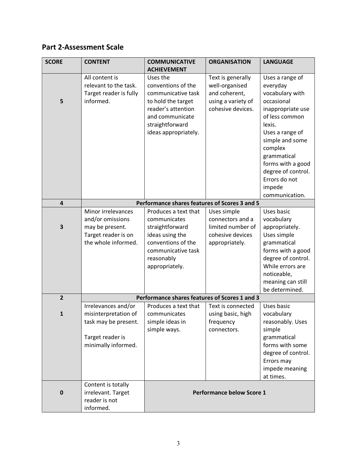### **Part 2-Assessment Scale**

| <b>SCORE</b>            | <b>CONTENT</b>         | <b>COMMUNICATIVE</b><br><b>ACHIEVEMENT</b>    | <b>ORGANISATION</b>              | <b>LANGUAGE</b>                     |
|-------------------------|------------------------|-----------------------------------------------|----------------------------------|-------------------------------------|
|                         | All content is         | Uses the                                      | Text is generally                | Uses a range of                     |
|                         | relevant to the task.  | conventions of the                            | well-organised                   | everyday                            |
|                         | Target reader is fully | communicative task                            | and coherent,                    | vocabulary with                     |
| 5                       | informed.              | to hold the target                            | using a variety of               | occasional                          |
|                         |                        | reader's attention                            | cohesive devices.                | inappropriate use                   |
|                         |                        | and communicate                               |                                  | of less common                      |
|                         |                        | straightforward                               |                                  | lexis.                              |
|                         |                        | ideas appropriately.                          |                                  | Uses a range of                     |
|                         |                        |                                               |                                  | simple and some                     |
|                         |                        |                                               |                                  | complex                             |
|                         |                        |                                               |                                  | grammatical                         |
|                         |                        |                                               |                                  | forms with a good                   |
|                         |                        |                                               |                                  | degree of control.                  |
|                         |                        |                                               |                                  | Errors do not                       |
|                         |                        |                                               |                                  | impede                              |
|                         |                        |                                               |                                  | communication.                      |
| $\overline{\mathbf{4}}$ |                        | Performance shares features of Scores 3 and 5 |                                  |                                     |
|                         | Minor irrelevances     | Produces a text that                          | Uses simple                      | Uses basic                          |
|                         | and/or omissions       | communicates                                  | connectors and a                 | vocabulary                          |
| $\overline{\mathbf{3}}$ | may be present.        | straightforward                               | limited number of                | appropriately.                      |
|                         | Target reader is on    | ideas using the                               | cohesive devices                 | Uses simple                         |
|                         | the whole informed.    | conventions of the                            | appropriately.                   | grammatical                         |
|                         |                        | communicative task                            |                                  | forms with a good                   |
|                         |                        | reasonably                                    |                                  | degree of control.                  |
|                         |                        | appropriately.                                |                                  | While errors are                    |
|                         |                        |                                               |                                  | noticeable,                         |
|                         |                        |                                               |                                  | meaning can still<br>be determined. |
| $\overline{2}$          |                        | Performance shares features of Scores 1 and 3 |                                  |                                     |
|                         | Irrelevances and/or    | Produces a text that                          | Text is connected                | Uses basic                          |
| 1                       | misinterpretation of   | communicates                                  | using basic, high                | vocabulary                          |
|                         | task may be present.   | simple ideas in                               | frequency                        | reasonably. Uses                    |
|                         |                        | simple ways.                                  | connectors.                      | simple                              |
|                         | Target reader is       |                                               |                                  | grammatical                         |
|                         | minimally informed.    |                                               |                                  | forms with some                     |
|                         |                        |                                               |                                  | degree of control.                  |
|                         |                        |                                               |                                  | Errors may                          |
|                         |                        |                                               |                                  | impede meaning                      |
|                         |                        |                                               |                                  | at times.                           |
|                         | Content is totally     |                                               |                                  |                                     |
| $\mathbf 0$             | irrelevant. Target     |                                               | <b>Performance below Score 1</b> |                                     |
|                         | reader is not          |                                               |                                  |                                     |
|                         | informed.              |                                               |                                  |                                     |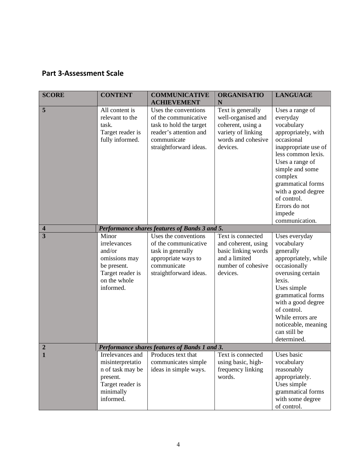#### **Part 3-Assessment Scale**

| <b>SCORE</b>     | <b>CONTENT</b>                                                                                                     | <b>COMMUNICATIVE</b><br><b>ACHIEVEMENT</b>                                                                                                 | <b>ORGANISATIO</b><br>N                                                                                              | <b>LANGUAGE</b>                                                                                                                                                                                                                                                                      |
|------------------|--------------------------------------------------------------------------------------------------------------------|--------------------------------------------------------------------------------------------------------------------------------------------|----------------------------------------------------------------------------------------------------------------------|--------------------------------------------------------------------------------------------------------------------------------------------------------------------------------------------------------------------------------------------------------------------------------------|
| 5                | All content is<br>relevant to the<br>task.<br>Target reader is<br>fully informed.                                  | Uses the conventions<br>of the communicative<br>task to hold the target<br>reader's attention and<br>communicate<br>straightforward ideas. | Text is generally<br>well-organised and<br>coherent, using a<br>variety of linking<br>words and cohesive<br>devices. | Uses a range of<br>everyday<br>vocabulary<br>appropriately, with<br>occasional<br>inappropriate use of<br>less common lexis.<br>Uses a range of<br>simple and some<br>complex<br>grammatical forms<br>with a good degree<br>of control.<br>Errors do not<br>impede<br>communication. |
| 4                |                                                                                                                    | Performance shares features of Bands 3 and 5.                                                                                              |                                                                                                                      |                                                                                                                                                                                                                                                                                      |
| 3                | Minor<br>irrelevances<br>and/or<br>omissions may<br>be present.<br>Target reader is<br>on the whole<br>informed.   | Uses the conventions<br>of the communicative<br>task in generally<br>appropriate ways to<br>communicate<br>straightforward ideas.          | Text is connected<br>and coherent, using<br>basic linking words<br>and a limited<br>number of cohesive<br>devices.   | Uses everyday<br>vocabulary<br>generally<br>appropriately, while<br>occasionally<br>overusing certain<br>lexis.<br>Uses simple<br>grammatical forms<br>with a good degree<br>of control.<br>While errors are<br>noticeable, meaning<br>can still be<br>determined.                   |
| $\boldsymbol{2}$ |                                                                                                                    | Performance shares features of Bands 1 and 3.                                                                                              |                                                                                                                      |                                                                                                                                                                                                                                                                                      |
| 1                | Irrelevances and<br>misinterpretatio<br>n of task may be<br>present.<br>Target reader is<br>minimally<br>informed. | Produces text that<br>communicates simple<br>ideas in simple ways.                                                                         | Text is connected<br>using basic, high-<br>frequency linking<br>words.                                               | Uses basic<br>vocabulary<br>reasonably<br>appropriately.<br>Uses simple<br>grammatical forms<br>with some degree<br>of control.                                                                                                                                                      |